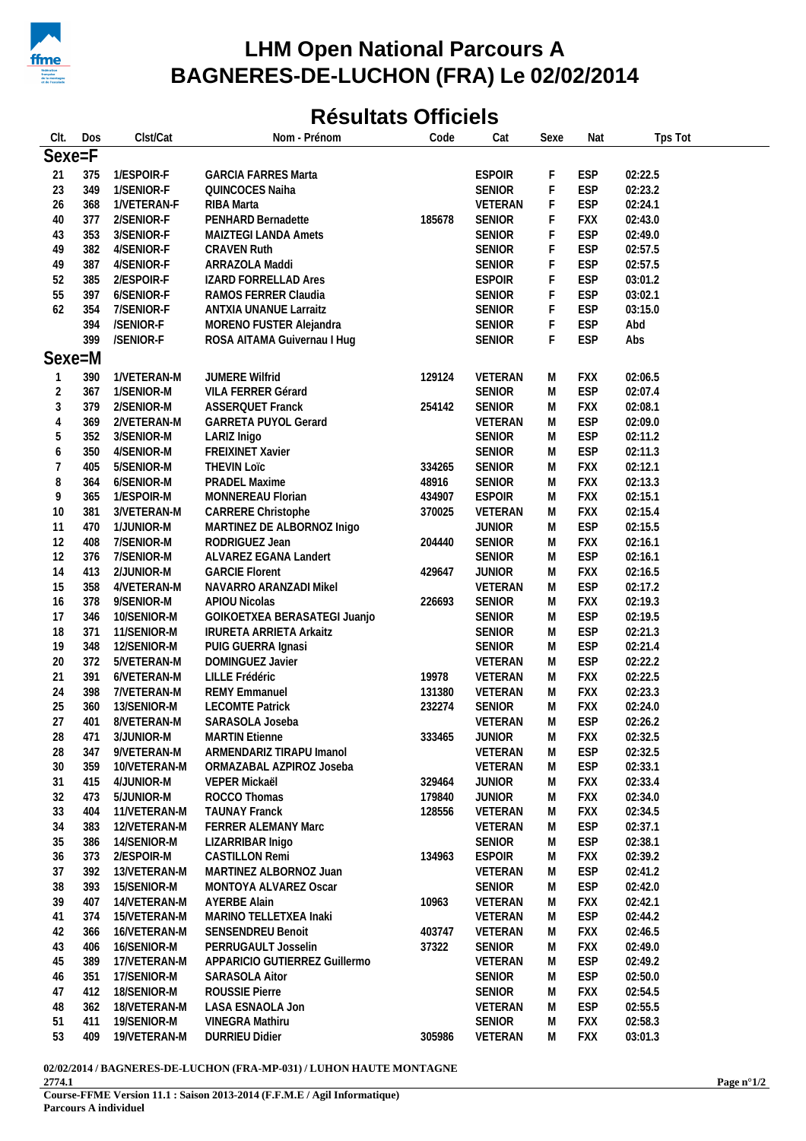

## **LHM Open National Parcours A** BAGNERES-DE-LUCHON (FRA) Le 02/02/2014

## **Résultats Officiels**

| CIt.                     | Dos | Clst/Cat     | Nom - Prénom                   | Code   | Cat           | Sexe                                                                                                       | Nat        | Tps Tot |
|--------------------------|-----|--------------|--------------------------------|--------|---------------|------------------------------------------------------------------------------------------------------------|------------|---------|
| Sexe=F                   |     |              |                                |        |               |                                                                                                            |            |         |
| 21                       | 375 | 1/ESPOIR-F   | <b>GARCIA FARRES Marta</b>     |        | <b>ESPOIR</b> | F                                                                                                          | <b>ESP</b> | 02:22.5 |
| 23                       | 349 | 1/SENIOR-F   | QUINCOCES Naiha                |        | SENIOR        | F                                                                                                          | <b>ESP</b> | 02:23.2 |
| 26                       | 368 | 1/VETERAN-F  | RIBA Marta                     |        | VETERAN       | F                                                                                                          | <b>ESP</b> | 02:24.1 |
| 40                       | 377 | 2/SENIOR-F   | PENHARD Bernadette             | 185678 | <b>SENIOR</b> | F                                                                                                          | FXX        | 02:43.0 |
| 43                       | 353 | 3/SENIOR-F   | MAIZTEGI LANDA Amets           |        | <b>SENIOR</b> | F                                                                                                          | <b>ESP</b> | 02:49.0 |
| 49                       | 382 | 4/SENIOR-F   | <b>CRAVEN Ruth</b>             |        | <b>SENIOR</b> | F                                                                                                          | <b>ESP</b> | 02:57.5 |
| 49                       | 387 | 4/SENIOR-F   | ARRAZOLA Maddi                 |        | <b>SENIOR</b> | F                                                                                                          | <b>ESP</b> | 02:57.5 |
| 52                       | 385 | 2/ESPOIR-F   | <b>IZARD FORRELLAD Ares</b>    |        | <b>ESPOIR</b> | F                                                                                                          | <b>ESP</b> | 03:01.2 |
| 55                       | 397 | 6/SENIOR-F   | RAMOS FERRER Claudia           |        | <b>SENIOR</b> | F                                                                                                          | <b>ESP</b> | 03:02.1 |
| 62                       | 354 | 7/SENIOR-F   | <b>ANTXIA UNANUE Larraitz</b>  |        | <b>SENIOR</b> | F                                                                                                          | <b>ESP</b> | 03:15.0 |
|                          | 394 | /SENIOR-F    | MORENO FUSTER Alejandra        |        | <b>SENIOR</b> | F                                                                                                          | <b>ESP</b> | Abd     |
|                          | 399 | /SENIOR-F    | ROSA AITAMA Guivernau I Hug    |        | <b>SENIOR</b> | F                                                                                                          | <b>ESP</b> | Abs     |
| Sexe=M                   |     |              |                                |        |               |                                                                                                            |            |         |
| 1                        | 390 | 1/VETERAN-M  | JUMERE Wilfrid                 | 129124 | VETERAN       | M                                                                                                          | <b>FXX</b> | 02:06.5 |
| $\overline{c}$           | 367 | 1/SENIOR-M   | VILA FERRER Gérard             |        | <b>SENIOR</b> | M                                                                                                          | <b>ESP</b> | 02:07.4 |
| 3                        | 379 | 2/SENIOR-M   | <b>ASSERQUET Franck</b>        | 254142 | <b>SENIOR</b> | M                                                                                                          | <b>FXX</b> | 02:08.1 |
| $\overline{4}$           | 369 | 2/VETERAN-M  | <b>GARRETA PUYOL Gerard</b>    |        | VETERAN       | M                                                                                                          | <b>ESP</b> | 02:09.0 |
| 5                        | 352 | 3/SENIOR-M   | LARIZ Inigo                    |        | <b>SENIOR</b> | M                                                                                                          | <b>ESP</b> | 02:11.2 |
| $\boldsymbol{6}$         | 350 | 4/SENIOR-M   | FREIXINET Xavier               |        | <b>SENIOR</b> | M                                                                                                          | <b>ESP</b> | 02:11.3 |
| $\overline{\mathcal{I}}$ | 405 | 5/SENIOR-M   | <b>THEVIN Loïc</b>             | 334265 | <b>SENIOR</b> | M                                                                                                          | <b>FXX</b> | 02:12.1 |
| 8                        | 364 | 6/SENIOR-M   | PRADEL Maxime                  | 48916  | <b>SENIOR</b> | M                                                                                                          | <b>FXX</b> | 02:13.3 |
| 9                        | 365 | 1/ESPOIR-M   | MONNEREAU Florian              | 434907 | <b>ESPOIR</b> | M                                                                                                          | <b>FXX</b> | 02:15.1 |
| 10                       | 381 | 3/VETERAN-M  | CARRERE Christophe             | 370025 | VETERAN       | M                                                                                                          | <b>FXX</b> | 02:15.4 |
| 11                       | 470 | 1/JUNIOR-M   | MARTINEZ DE ALBORNOZ Inigo     |        | <b>JUNIOR</b> | M                                                                                                          | <b>ESP</b> | 02:15.5 |
| 12                       | 408 | 7/SENIOR-M   | RODRIGUEZ Jean                 | 204440 | <b>SENIOR</b> | M                                                                                                          | <b>FXX</b> | 02:16.1 |
| 12                       | 376 | 7/SENIOR-M   | ALVAREZ EGANA Landert          |        | <b>SENIOR</b> | M                                                                                                          | <b>ESP</b> | 02:16.1 |
| 14                       | 413 | 2/JUNIOR-M   | <b>GARCIE Florent</b>          | 429647 | <b>JUNIOR</b> | M                                                                                                          | <b>FXX</b> | 02:16.5 |
| 15                       | 358 | 4/VETERAN-M  | NAVARRO ARANZADI Mikel         |        | VETERAN       | M                                                                                                          | <b>ESP</b> | 02:17.2 |
| 16                       | 378 | 9/SENIOR-M   | APIOU Nicolas                  | 226693 | <b>SENIOR</b> | M                                                                                                          | <b>FXX</b> | 02:19.3 |
| 17                       | 346 | 10/SENIOR-M  | GOIKOETXEA BERASATEGI Juanjo   |        | <b>SENIOR</b> | M                                                                                                          | <b>ESP</b> | 02:19.5 |
| 18                       | 371 | 11/SENIOR-M  | <b>IRURETA ARRIETA Arkaitz</b> |        | <b>SENIOR</b> | M                                                                                                          | <b>ESP</b> | 02:21.3 |
| 19                       | 348 | 12/SENIOR-M  | PUIG GUERRA Ignasi             |        | <b>SENIOR</b> | M                                                                                                          | <b>ESP</b> | 02:21.4 |
| 20                       | 372 | 5/VETERAN-M  | DOMINGUEZ Javier               |        | VETERAN       | M                                                                                                          | <b>ESP</b> | 02:22.2 |
| 21                       | 391 | 6/VETERAN-M  | LILLE Frédéric                 | 19978  | VETERAN       | M                                                                                                          | <b>FXX</b> | 02:22.5 |
| 24                       | 398 | 7/VETERAN-M  | <b>REMY Emmanuel</b>           | 131380 | VETERAN       | M                                                                                                          | <b>FXX</b> | 02:23.3 |
| 25                       | 360 | 13/SENIOR-M  | <b>LECOMTE Patrick</b>         | 232274 | <b>SENIOR</b> | M                                                                                                          | <b>FXX</b> | 02:24.0 |
| 27                       | 401 | 8/VETERAN-M  | SARASOLA Joseba                |        | VETERAN       | M                                                                                                          | <b>ESP</b> | 02:26.2 |
| 28                       | 471 | 3/JUNIOR-M   | <b>MARTIN Etienne</b>          | 333465 | <b>JUNIOR</b> | $\mathsf{M}% _{T}=\mathsf{M}_{T}\!\left( a,b\right) ,\ \mathsf{M}_{T}=\mathsf{M}_{T}\!\left( a,b\right) ,$ | <b>FXX</b> | 02:32.5 |
| 28                       | 347 | 9/VETERAN-M  | ARMENDARIZ TIRAPU Imanol       |        | VETERAN       | M                                                                                                          | <b>ESP</b> | 02:32.5 |
| 30                       | 359 | 10/VETERAN-M | ORMAZABAL AZPIROZ Joseba       |        | VETERAN       | M                                                                                                          | <b>ESP</b> | 02:33.1 |
| 31                       | 415 | 4/JUNIOR-M   | VEPER Mickaël                  | 329464 | <b>JUNIOR</b> | M                                                                                                          | <b>FXX</b> | 02:33.4 |
| 32                       | 473 | 5/JUNIOR-M   | ROCCO Thomas                   | 179840 | <b>JUNIOR</b> | M                                                                                                          | <b>FXX</b> | 02:34.0 |
| 33                       | 404 | 11/VETERAN-M | <b>TAUNAY Franck</b>           | 128556 | VETERAN       | M                                                                                                          | <b>FXX</b> | 02:34.5 |
| 34                       | 383 | 12/VETERAN-M | FERRER ALEMANY Marc            |        | VETERAN       | M                                                                                                          | <b>ESP</b> | 02:37.1 |
| 35                       | 386 | 14/SENIOR-M  | LIZARRIBAR Inigo               |        | SENIOR        | M                                                                                                          | <b>ESP</b> | 02:38.1 |
| 36                       | 373 | 2/ESPOIR-M   | <b>CASTILLON Remi</b>          | 134963 | <b>ESPOIR</b> | M                                                                                                          | <b>FXX</b> | 02:39.2 |
| 37                       | 392 | 13/VETERAN-M | MARTINEZ ALBORNOZ Juan         |        | VETERAN       | M                                                                                                          | <b>ESP</b> | 02:41.2 |
| 38                       | 393 | 15/SENIOR-M  | MONTOYA ALVAREZ Oscar          |        | <b>SENIOR</b> | M                                                                                                          | <b>ESP</b> | 02:42.0 |
| 39                       | 407 | 14/VETERAN-M | <b>AYERBE Alain</b>            | 10963  | VETERAN       | M                                                                                                          | <b>FXX</b> | 02:42.1 |
| 41                       | 374 | 15/VETERAN-M | MARINO TELLETXEA Inaki         |        | VETERAN       | M                                                                                                          | <b>ESP</b> | 02:44.2 |
| 42                       | 366 | 16/VETERAN-M | SENSENDREU Benoit              | 403747 | VETERAN       | M                                                                                                          | <b>FXX</b> | 02:46.5 |
| 43                       | 406 | 16/SENIOR-M  | PERRUGAULT Josselin            | 37322  | SENIOR        | M                                                                                                          | <b>FXX</b> | 02:49.0 |
| 45                       | 389 | 17/VETERAN-M | APPARICIO GUTIERREZ Guillermo  |        | VETERAN       | M                                                                                                          | <b>ESP</b> | 02:49.2 |
| 46                       | 351 | 17/SENIOR-M  | <b>SARASOLA Aitor</b>          |        | <b>SENIOR</b> | M                                                                                                          | <b>ESP</b> | 02:50.0 |
| 47                       | 412 | 18/SENIOR-M  | ROUSSIE Pierre                 |        | <b>SENIOR</b> | M                                                                                                          | <b>FXX</b> | 02:54.5 |
| 48                       | 362 | 18/VETERAN-M | LASA ESNAOLA Jon               |        | VETERAN       | M                                                                                                          | <b>ESP</b> | 02:55.5 |
| 51                       | 411 | 19/SENIOR-M  | VINEGRA Mathiru                |        | <b>SENIOR</b> | M                                                                                                          | <b>FXX</b> | 02:58.3 |
| 53                       | 409 | 19/VETERAN-M | <b>DURRIEU Didier</b>          | 305986 | VETERAN       | M                                                                                                          | <b>FXX</b> | 03:01.3 |

02/02/2014 / BAGNERES-DE-LUCHON (FRA-MP-031) / LUHON HAUTE MONTAGNE